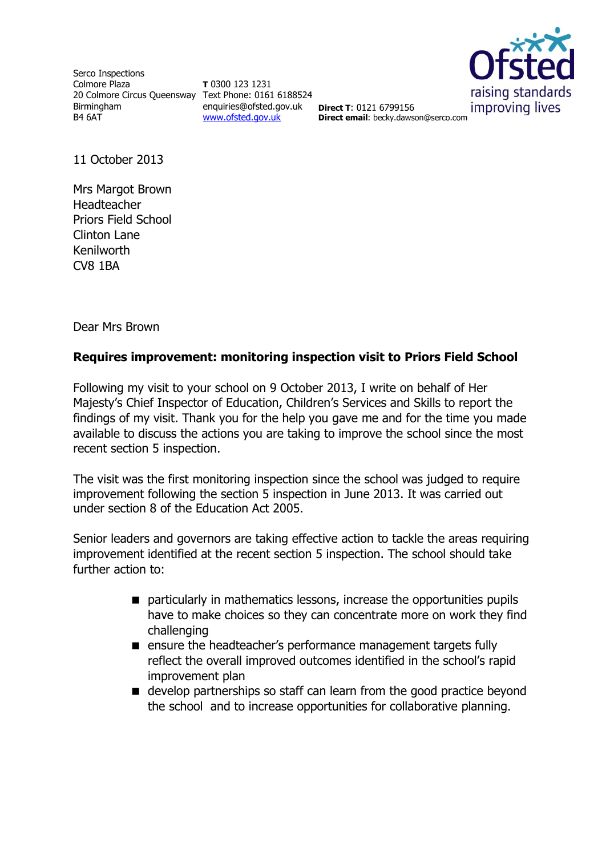Serco Inspections Colmore Plaza 20 Colmore Circus Queensway Text Phone: 0161 6188524 Birmingham B4 6AT

**T** 0300 123 1231 enquiries@ofsted.gov.uk **Direct T**: 0121 6799156 [www.ofsted.gov.uk](http://www.ofsted.gov.uk/)



**Direct email**: becky.dawson@serco.com

11 October 2013

Mrs Margot Brown Headteacher Priors Field School Clinton Lane Kenilworth CV8 1BA

Dear Mrs Brown

## **Requires improvement: monitoring inspection visit to Priors Field School**

Following my visit to your school on 9 October 2013, I write on behalf of Her Majesty's Chief Inspector of Education, Children's Services and Skills to report the findings of my visit. Thank you for the help you gave me and for the time you made available to discuss the actions you are taking to improve the school since the most recent section 5 inspection.

The visit was the first monitoring inspection since the school was judged to require improvement following the section 5 inspection in June 2013. It was carried out under section 8 of the Education Act 2005.

Senior leaders and governors are taking effective action to tackle the areas requiring improvement identified at the recent section 5 inspection. The school should take further action to:

- particularly in mathematics lessons, increase the opportunities pupils have to make choices so they can concentrate more on work they find challenging
- **E** ensure the headteacher's performance management targets fully reflect the overall improved outcomes identified in the school's rapid improvement plan
- develop partnerships so staff can learn from the good practice beyond the school and to increase opportunities for collaborative planning.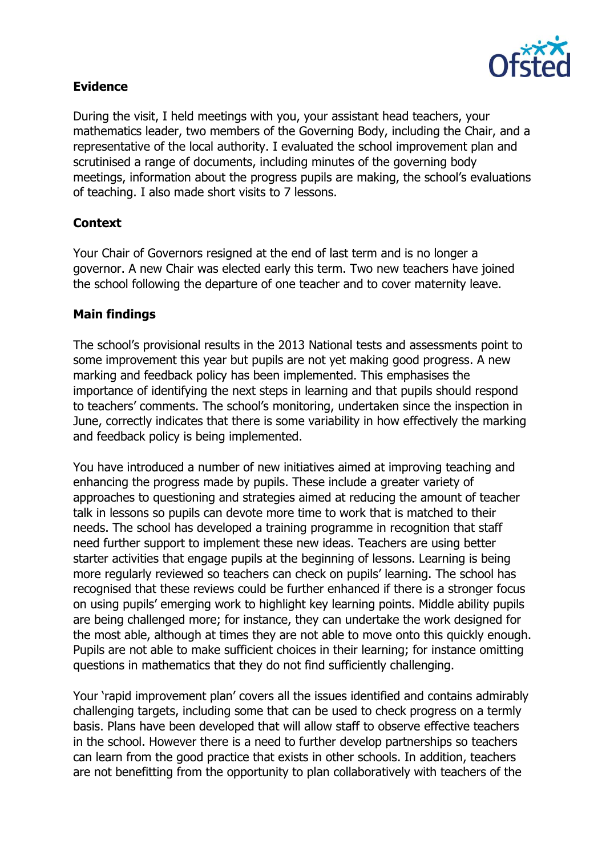

## **Evidence**

During the visit, I held meetings with you, your assistant head teachers, your mathematics leader, two members of the Governing Body, including the Chair, and a representative of the local authority. I evaluated the school improvement plan and scrutinised a range of documents, including minutes of the governing body meetings, information about the progress pupils are making, the school's evaluations of teaching. I also made short visits to 7 lessons.

# **Context**

Your Chair of Governors resigned at the end of last term and is no longer a governor. A new Chair was elected early this term. Two new teachers have joined the school following the departure of one teacher and to cover maternity leave.

## **Main findings**

The school's provisional results in the 2013 National tests and assessments point to some improvement this year but pupils are not yet making good progress. A new marking and feedback policy has been implemented. This emphasises the importance of identifying the next steps in learning and that pupils should respond to teachers' comments. The school's monitoring, undertaken since the inspection in June, correctly indicates that there is some variability in how effectively the marking and feedback policy is being implemented.

You have introduced a number of new initiatives aimed at improving teaching and enhancing the progress made by pupils. These include a greater variety of approaches to questioning and strategies aimed at reducing the amount of teacher talk in lessons so pupils can devote more time to work that is matched to their needs. The school has developed a training programme in recognition that staff need further support to implement these new ideas. Teachers are using better starter activities that engage pupils at the beginning of lessons. Learning is being more regularly reviewed so teachers can check on pupils' learning. The school has recognised that these reviews could be further enhanced if there is a stronger focus on using pupils' emerging work to highlight key learning points. Middle ability pupils are being challenged more; for instance, they can undertake the work designed for the most able, although at times they are not able to move onto this quickly enough. Pupils are not able to make sufficient choices in their learning; for instance omitting questions in mathematics that they do not find sufficiently challenging.

Your 'rapid improvement plan' covers all the issues identified and contains admirably challenging targets, including some that can be used to check progress on a termly basis. Plans have been developed that will allow staff to observe effective teachers in the school. However there is a need to further develop partnerships so teachers can learn from the good practice that exists in other schools. In addition, teachers are not benefitting from the opportunity to plan collaboratively with teachers of the